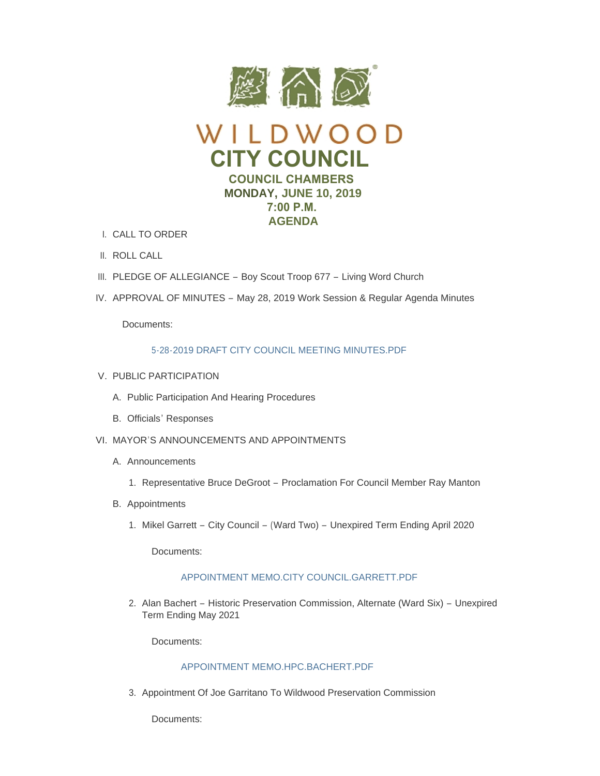

- CALL TO ORDER I.
- II. ROLL CALL
- III. PLEDGE OF ALLEGIANCE Boy Scout Troop 677 Living Word Church
- IV. APPROVAL OF MINUTES May 28, 2019 Work Session & Regular Agenda Minutes

Documents:

# [5-28-2019 DRAFT CITY COUNCIL MEETING MINUTES.PDF](https://www.cityofwildwood.com/AgendaCenter/ViewFile/Item/20656?fileID=26480)

- V. PUBLIC PARTICIPATION
	- A. Public Participation And Hearing Procedures
	- B. Officials' Responses
- VI. MAYOR'S ANNOUNCEMENTS AND APPOINTMENTS
	- A. Announcements
		- 1. Representative Bruce DeGroot Proclamation For Council Member Ray Manton
	- B. Appointments
		- 1. Mikel Garrett City Council (Ward Two) Unexpired Term Ending April 2020

Documents:

# [APPOINTMENT MEMO.CITY COUNCIL.GARRETT.PDF](https://www.cityofwildwood.com/AgendaCenter/ViewFile/Item/20700?fileID=26517)

2. Alan Bachert - Historic Preservation Commission, Alternate (Ward Six) - Unexpired Term Ending May 2021

Documents:

# [APPOINTMENT MEMO.HPC.BACHERT.PDF](https://www.cityofwildwood.com/AgendaCenter/ViewFile/Item/20701?fileID=26518)

3. Appointment Of Joe Garritano To Wildwood Preservation Commission

Documents: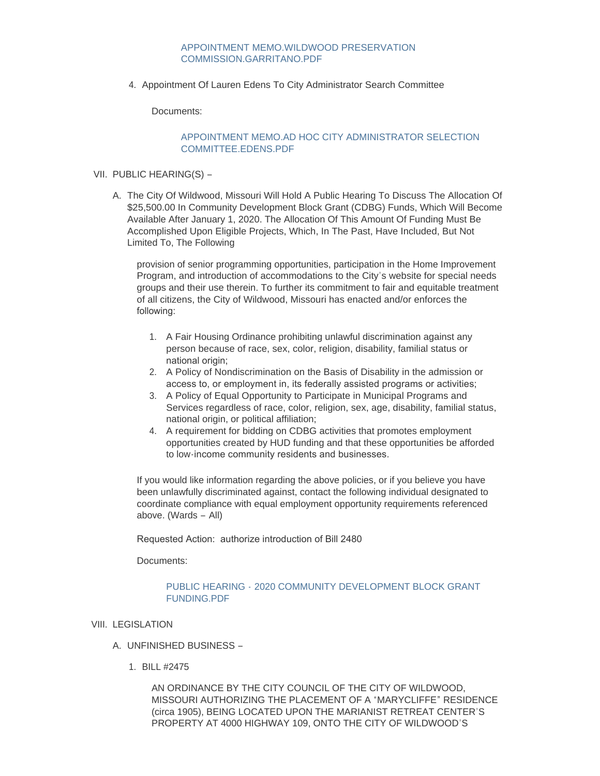# [APPOINTMENT MEMO.WILDWOOD PRESERVATION](https://www.cityofwildwood.com/AgendaCenter/ViewFile/Item/20702?fileID=26519)  COMMISSION.GARRITANO.PDF

4. Appointment Of Lauren Edens To City Administrator Search Committee

Documents:

# [APPOINTMENT MEMO.AD HOC CITY ADMINISTRATOR SELECTION](https://www.cityofwildwood.com/AgendaCenter/ViewFile/Item/20703?fileID=26520)  COMMITTEE.EDENS.PDF

- VII. PUBLIC HEARING(S)
	- A. The City Of Wildwood, Missouri Will Hold A Public Hearing To Discuss The Allocation Of \$25,500.00 In Community Development Block Grant (CDBG) Funds, Which Will Become Available After January 1, 2020. The Allocation Of This Amount Of Funding Must Be Accomplished Upon Eligible Projects, Which, In The Past, Have Included, But Not Limited To, The Following

provision of senior programming opportunities, participation in the Home Improvement Program, and introduction of accommodations to the City's website for special needs groups and their use therein. To further its commitment to fair and equitable treatment of all citizens, the City of Wildwood, Missouri has enacted and/or enforces the following:

- 1. A Fair Housing Ordinance prohibiting unlawful discrimination against any person because of race, sex, color, religion, disability, familial status or national origin;
- 2. A Policy of Nondiscrimination on the Basis of Disability in the admission or access to, or employment in, its federally assisted programs or activities;
- 3. A Policy of Equal Opportunity to Participate in Municipal Programs and Services regardless of race, color, religion, sex, age, disability, familial status, national origin, or political affiliation;
- 4. A requirement for bidding on CDBG activities that promotes employment opportunities created by HUD funding and that these opportunities be afforded to low-income community residents and businesses.

If you would like information regarding the above policies, or if you believe you have been unlawfully discriminated against, contact the following individual designated to coordinate compliance with equal employment opportunity requirements referenced above. (Wards – All)

Requested Action: authorize introduction of Bill 2480

Documents:

# PUBLIC HEARING - [2020 COMMUNITY DEVELOPMENT BLOCK GRANT](https://www.cityofwildwood.com/AgendaCenter/ViewFile/Item/20665?fileID=26490)  FUNDING.PDF

# VIII. LEGISLATION

- UNFINISHED BUSINESS A.
	- BILL #2475 1.

AN ORDINANCE BY THE CITY COUNCIL OF THE CITY OF WILDWOOD, MISSOURI AUTHORIZING THE PLACEMENT OF A "MARYCLIFFE" RESIDENCE (circa 1905), BEING LOCATED UPON THE MARIANIST RETREAT CENTER'S PROPERTY AT 4000 HIGHWAY 109, ONTO THE CITY OF WILDWOOD'S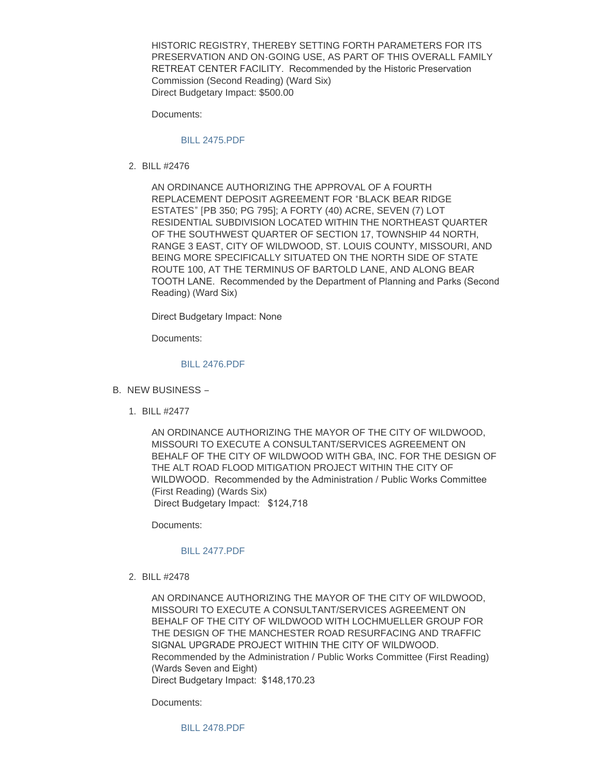HISTORIC REGISTRY, THEREBY SETTING FORTH PARAMETERS FOR ITS PRESERVATION AND ON-GOING USE, AS PART OF THIS OVERALL FAMILY RETREAT CENTER FACILITY. Recommended by the Historic Preservation Commission (Second Reading) (Ward Six) Direct Budgetary Impact: \$500.00

Documents:

### [BILL 2475.PDF](https://www.cityofwildwood.com/AgendaCenter/ViewFile/Item/20668?fileID=26481)

BILL #2476 2.

AN ORDINANCE AUTHORIZING THE APPROVAL OF A FOURTH REPLACEMENT DEPOSIT AGREEMENT FOR "BLACK BEAR RIDGE ESTATES" [PB 350; PG 795]; A FORTY (40) ACRE, SEVEN (7) LOT RESIDENTIAL SUBDIVISION LOCATED WITHIN THE NORTHEAST QUARTER OF THE SOUTHWEST QUARTER OF SECTION 17, TOWNSHIP 44 NORTH, RANGE 3 EAST, CITY OF WILDWOOD, ST. LOUIS COUNTY, MISSOURI, AND BEING MORE SPECIFICALLY SITUATED ON THE NORTH SIDE OF STATE ROUTE 100, AT THE TERMINUS OF BARTOLD LANE, AND ALONG BEAR TOOTH LANE. Recommended by the Department of Planning and Parks (Second Reading) (Ward Six)

Direct Budgetary Impact: None

Documents:

# [BILL 2476.PDF](https://www.cityofwildwood.com/AgendaCenter/ViewFile/Item/20669?fileID=26422)

- B. NEW BUSINESS
	- BILL #2477 1.

AN ORDINANCE AUTHORIZING THE MAYOR OF THE CITY OF WILDWOOD, MISSOURI TO EXECUTE A CONSULTANT/SERVICES AGREEMENT ON BEHALF OF THE CITY OF WILDWOOD WITH GBA, INC. FOR THE DESIGN OF THE ALT ROAD FLOOD MITIGATION PROJECT WITHIN THE CITY OF WILDWOOD. Recommended by the Administration / Public Works Committee (First Reading) (Wards Six) Direct Budgetary Impact: \$124,718

Documents:

#### [BILL 2477.PDF](https://www.cityofwildwood.com/AgendaCenter/ViewFile/Item/20671?fileID=26482)

BILL #2478 2.

AN ORDINANCE AUTHORIZING THE MAYOR OF THE CITY OF WILDWOOD, MISSOURI TO EXECUTE A CONSULTANT/SERVICES AGREEMENT ON BEHALF OF THE CITY OF WILDWOOD WITH LOCHMUELLER GROUP FOR THE DESIGN OF THE MANCHESTER ROAD RESURFACING AND TRAFFIC SIGNAL UPGRADE PROJECT WITHIN THE CITY OF WILDWOOD. Recommended by the Administration / Public Works Committee (First Reading) (Wards Seven and Eight) Direct Budgetary Impact: \$148,170.23

Documents:

[BILL 2478.PDF](https://www.cityofwildwood.com/AgendaCenter/ViewFile/Item/20672?fileID=26483)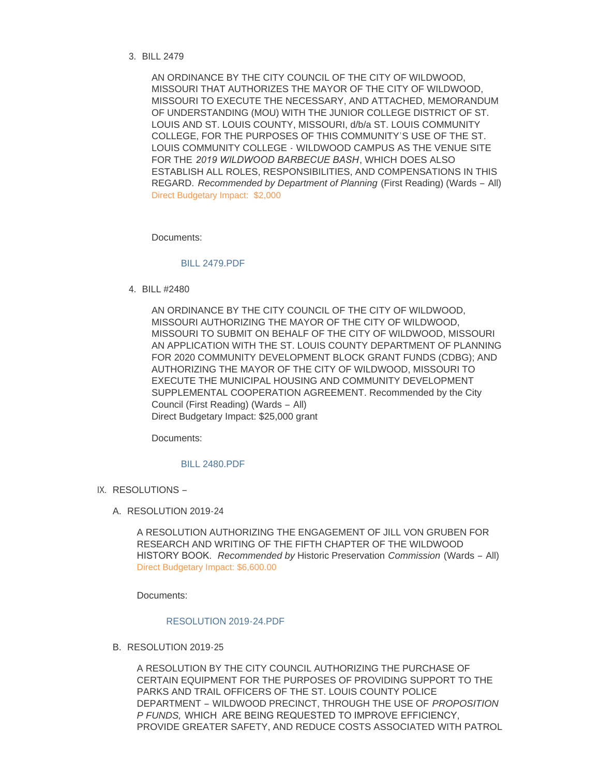## BILL 2479 3.

AN ORDINANCE BY THE CITY COUNCIL OF THE CITY OF WILDWOOD, MISSOURI THAT AUTHORIZES THE MAYOR OF THE CITY OF WILDWOOD, MISSOURI TO EXECUTE THE NECESSARY, AND ATTACHED, MEMORANDUM OF UNDERSTANDING (MOU) WITH THE JUNIOR COLLEGE DISTRICT OF ST. LOUIS AND ST. LOUIS COUNTY, MISSOURI, d/b/a ST. LOUIS COMMUNITY COLLEGE, FOR THE PURPOSES OF THIS COMMUNITY'S USE OF THE ST. LOUIS COMMUNITY COLLEGE - WILDWOOD CAMPUS AS THE VENUE SITE FOR THE *2019 WILDWOOD BARBECUE BASH*, WHICH DOES ALSO ESTABLISH ALL ROLES, RESPONSIBILITIES, AND COMPENSATIONS IN THIS REGARD. *Recommended by Department of Planning* (First Reading) (Wards – All) Direct Budgetary Impact: \$2,000

Documents:

#### [BILL 2479.PDF](https://www.cityofwildwood.com/AgendaCenter/ViewFile/Item/20682?fileID=26491)

BILL #2480 4.

AN ORDINANCE BY THE CITY COUNCIL OF THE CITY OF WILDWOOD, MISSOURI AUTHORIZING THE MAYOR OF THE CITY OF WILDWOOD, MISSOURI TO SUBMIT ON BEHALF OF THE CITY OF WILDWOOD, MISSOURI AN APPLICATION WITH THE ST. LOUIS COUNTY DEPARTMENT OF PLANNING FOR 2020 COMMUNITY DEVELOPMENT BLOCK GRANT FUNDS (CDBG); AND AUTHORIZING THE MAYOR OF THE CITY OF WILDWOOD, MISSOURI TO EXECUTE THE MUNICIPAL HOUSING AND COMMUNITY DEVELOPMENT SUPPLEMENTAL COOPERATION AGREEMENT. Recommended by the City Council (First Reading) (Wards – All) Direct Budgetary Impact: \$25,000 grant

Documents:

### [BILL 2480.PDF](https://www.cityofwildwood.com/AgendaCenter/ViewFile/Item/20674?fileID=26484)

- IX. RESOLUTIONS
	- RESOLUTION 2019-24 A.

A RESOLUTION AUTHORIZING THE ENGAGEMENT OF JILL VON GRUBEN FOR RESEARCH AND WRITING OF THE FIFTH CHAPTER OF THE WILDWOOD HISTORY BOOK. *Recommended by* Historic Preservation *Commission* (Wards – All) Direct Budgetary Impact: \$6,600.00

Documents:

#### [RESOLUTION 2019-24.PDF](https://www.cityofwildwood.com/AgendaCenter/ViewFile/Item/20683?fileID=26487)

B. RESOLUTION 2019-25

A RESOLUTION BY THE CITY COUNCIL AUTHORIZING THE PURCHASE OF CERTAIN EQUIPMENT FOR THE PURPOSES OF PROVIDING SUPPORT TO THE PARKS AND TRAIL OFFICERS OF THE ST. LOUIS COUNTY POLICE DEPARTMENT – WILDWOOD PRECINCT, THROUGH THE USE OF *PROPOSITION P FUNDS,* WHICH ARE BEING REQUESTED TO IMPROVE EFFICIENCY, PROVIDE GREATER SAFETY, AND REDUCE COSTS ASSOCIATED WITH PATROL